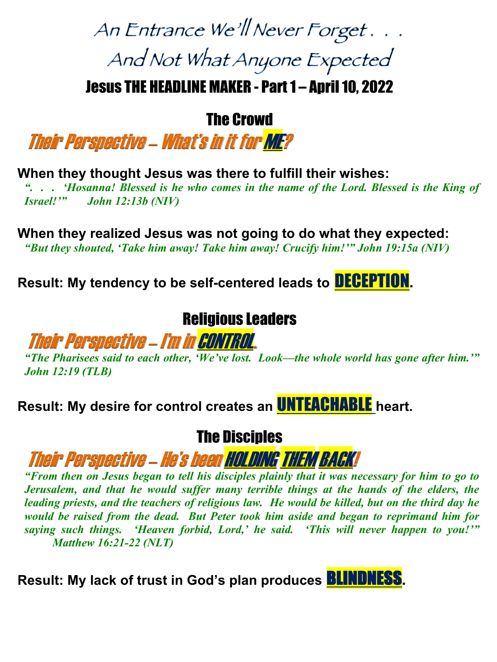# An Entrance We'll Never Forget... And Not What Anyone Expected

Jesus THE HEADLINE MAKER - Part 1 – April 10, 2022

The Crowd

Their Perspective – What's in it for ME?

**When they thought Jesus was there to fulfill their wishes:**

*". . . 'Hosanna! Blessed is he who comes in the name of the Lord. Blessed is the King of Israel!'" John 12:13b (NIV)*

**When they realized Jesus was not going to do what they expected:** *"But they shouted, 'Take him away! Take him away! Crucify him!'" John 19:15a (NIV)*

**Result: My tendency to be self-centered leads to** DECEPTION**.** 

#### Religious Leaders

#### Their Perspective –I'm in CONTROL.

*"The Pharisees said to each other, 'We've lost. Look—the whole world has gone after him.'" John 12:19 (TLB)*

**Result: My desire for control creates an** UNTEACHABLE **heart.** 

#### The Disciples

Their Perspective –He's been HOLDING THEM BACK!

*"From then on Jesus began to tell his disciples plainly that it was necessary for him to go to Jerusalem, and that he would suffer many terrible things at the hands of the elders, the leading priests, and the teachers of religious law. He would be killed, but on the third day he would be raised from the dead. But Peter took him aside and began to reprimand him for saying such things. 'Heaven forbid, Lord,' he said. 'This will never happen to you!'" Matthew 16:21-22 (NLT)*

**Result: My lack of trust in God's plan produces** BLINDNESS**.**